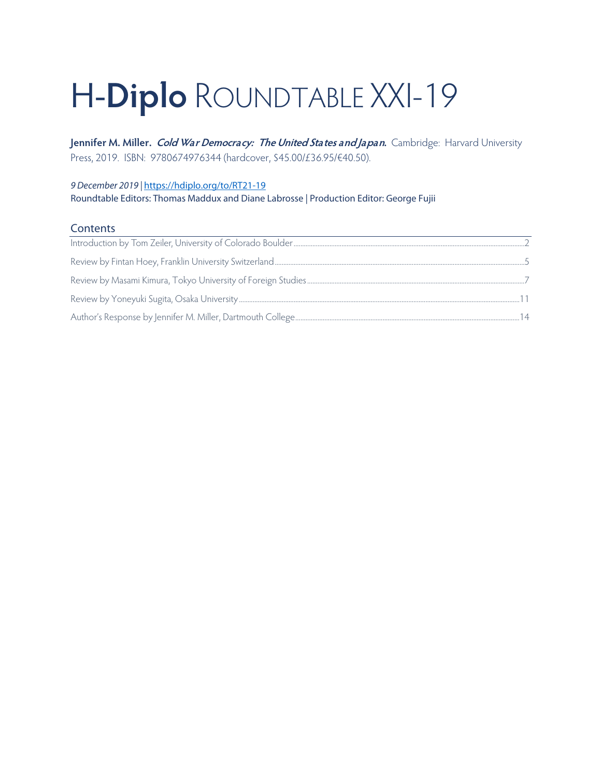# H-**Diplo** ROUNDTABLE XXI-19

**Jennifer M. Miller. Cold War Democracy: The United States and Japan.** Cambridge: Harvard University Press, 2019. ISBN: 9780674976344 (hardcover, \$45.00/£36.95/€40.50).

### *9 December 2019 |* <https://hdiplo.org/to/RT21-19> Roundtable Editors: Thomas Maddux and Diane Labrosse | Production Editor: George Fujii

## **Contents**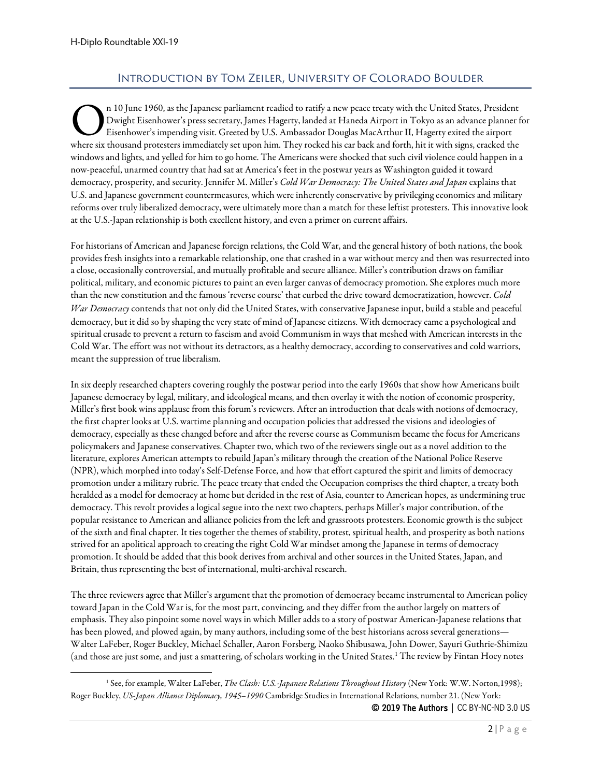# Introduction by Tom Zeiler, University of Colorado Boulder

<span id="page-1-0"></span>n 10 June 1960, as the Japanese parliament readied to ratify a new peace treaty with the United States, President Dwight Eisenhower's press secretary, James Hagerty, landed at Haneda Airport in Tokyo as an advance planner for Eisenhower's impending visit. Greeted by U.S. Ambassador Douglas MacArthur II, Hagerty exited the airport n 10 June 1960, as the Japanese parliament readied to ratify a new peace treaty with the United States, President<br>Dwight Eisenhower's press secretary, James Hagerty, landed at Haneda Airport in Tokyo as an advance planner windows and lights, and yelled for him to go home. The Americans were shocked that such civil violence could happen in a now-peaceful, unarmed country that had sat at America's feet in the postwar years as Washington guided it toward democracy, prosperity, and security. Jennifer M. Miller's *Cold War Democracy: The United States and Japan* explains that U.S. and Japanese government countermeasures, which were inherently conservative by privileging economics and military reforms over truly liberalized democracy, were ultimately more than a match for these leftist protesters. This innovative look at the U.S.-Japan relationship is both excellent history, and even a primer on current affairs.

For historians of American and Japanese foreign relations, the Cold War, and the general history of both nations, the book provides fresh insights into a remarkable relationship, one that crashed in a war without mercy and then was resurrected into a close, occasionally controversial, and mutually profitable and secure alliance. Miller's contribution draws on familiar political, military, and economic pictures to paint an even larger canvas of democracy promotion. She explores much more than the new constitution and the famous 'reverse course' that curbed the drive toward democratization, however. *Cold War Democracy*contends that not only did the United States, with conservative Japanese input, build a stable and peaceful democracy, but it did so by shaping the very state of mind of Japanese citizens. With democracy came a psychological and spiritual crusade to prevent a return to fascism and avoid Communism in ways that meshed with American interests in the Cold War. The effort was not without its detractors, as a healthy democracy, according to conservatives and cold warriors, meant the suppression of true liberalism.

In six deeply researched chapters covering roughly the postwar period into the early 1960s that show how Americans built Japanese democracy by legal, military, and ideological means, and then overlay it with the notion of economic prosperity, Miller's first book wins applause from this forum's reviewers. After an introduction that deals with notions of democracy, the first chapter looks at U.S. wartime planning and occupation policies that addressed the visions and ideologies of democracy, especially as these changed before and after the reverse course as Communism became the focus for Americans policymakers and Japanese conservatives. Chapter two, which two of the reviewers single out as a novel addition to the literature, explores American attempts to rebuild Japan's military through the creation of the National Police Reserve (NPR), which morphed into today's Self-Defense Force, and how that effort captured the spirit and limits of democracy promotion under a military rubric. The peace treaty that ended the Occupation comprises the third chapter, a treaty both heralded as a model for democracy at home but derided in the rest of Asia, counter to American hopes, as undermining true democracy. This revolt provides a logical segue into the next two chapters, perhaps Miller's major contribution, of the popular resistance to American and alliance policies from the left and grassroots protesters. Economic growth is the subject of the sixth and final chapter. It ties together the themes of stability, protest, spiritual health, and prosperity as both nations strived for an apolitical approach to creating the right Cold War mindset among the Japanese in terms of democracy promotion. It should be added that this book derives from archival and other sources in the United States, Japan,and Britain, thus representing the best of international, multi-archival research.

The three reviewers agree that Miller's argument that the promotion of democracy became instrumental to American policy toward Japan in the Cold War is, for the most part, convincing, and they differ from the author largely on matters of emphasis. They also pinpoint some novel ways in which Miller adds to a story of postwar American-Japanese relations that has been plowed, and plowed again, by many authors, including some of the best historians across several generations— Walter LaFeber, Roger Buckley, Michael Schaller, Aaron Forsberg, Naoko Shibusawa, John Dower, Sayuri Guthrie-Shimizu (and those are just some, and just a smattering, of scholars working in the United States.[1](#page-1-1) The review by Fintan Hoey notes

© 2019 The Authors | CC BY-NC-ND 3.0 US

<span id="page-1-1"></span><sup>&</sup>lt;sup>1</sup> See, for example, Walter LaFeber, *The Clash: U.S.-Japanese Relations Throughout History* (New York: W.W. Norton,1998); Roger Buckley, *US-Japan Alliance Diplomacy, 1945–1990* Cambridge Studies in International Relations, number 21. (New York: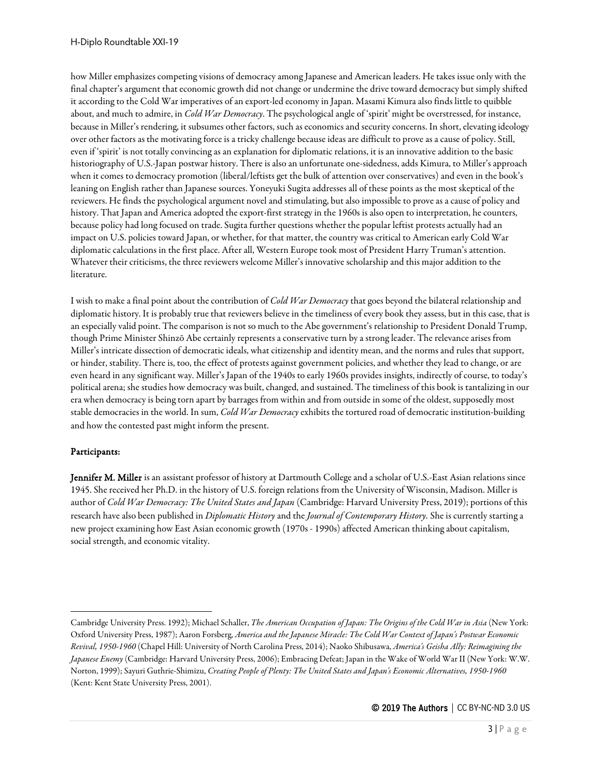how Miller emphasizes competing visions of democracy among Japanese and American leaders. He takes issue only with the final chapter's argument that economic growth did not change or undermine the drive toward democracy but simply shifted it according to the Cold War imperatives of an export-led economy in Japan. Masami Kimura also finds little to quibble about, and much to admire, in *Cold War Democracy*. The psychological angle of 'spirit' might be overstressed, for instance, because in Miller's rendering, it subsumes other factors, such as economics and security concerns. In short, elevating ideology over other factors as the motivating force is a tricky challenge because ideas are difficult to prove as a cause of policy. Still, even if 'spirit' is not totally convincing as an explanation for diplomatic relations, it is an innovative addition to the basic historiography of U.S.-Japan postwar history. There is also an unfortunate one-sidedness, adds Kimura, to Miller's approach when it comes to democracy promotion (liberal/leftists get the bulk of attention over conservatives) and even in the book's leaning on English rather than Japanese sources. Yoneyuki Sugita addresses all of these points as the most skeptical of the reviewers. He finds the psychological argument novel and stimulating, but also impossible to prove as a cause of policy and history. That Japan and America adopted the export-first strategy in the 1960s is also open to interpretation, he counters, because policy had long focused on trade. Sugita further questions whether the popular leftist protests actually had an impact on U.S. policies toward Japan, or whether, for that matter, the country was critical to American early Cold War diplomatic calculations in the first place. After all, Western Europe took most of President Harry Truman's attention. Whatever their criticisms, the three reviewers welcome Miller's innovative scholarship and this major addition to the literature.

I wish to make a final point about thecontribution of *Cold War Democracy* that goes beyond the bilateral relationship and diplomatic history. It is probably true that reviewers believe in the timeliness of every book they assess, but in this case, that is an especially valid point. The comparison is not so much to the Abe government's relationship to President Donald Trump, though Prime Minister Shinzō Abe certainly represents a conservative turn by a strong leader. The relevance arises from Miller's intricate dissection of democratic ideals, what citizenship and identity mean, and the norms and rules that support, or hinder, stability. There is, too, the effect of protests against government policies, and whether they lead to change, or are even heard in any significant way. Miller's Japan of the 1940s to early 1960s provides insights, indirectly of course, to today's political arena; she studies how democracy was built, changed, and sustained. The timeliness of this book is tantalizing in our era when democracy is being torn apart by barrages from within and from outside in some of the oldest, supposedly most stable democracies in the world. In sum, *Cold War Democracy*exhibits the tortured road of democratic institution-building and how the contested past might inform the present.

#### Participants:

Jennifer M. Miller is an assistant professor of history at Dartmouth College and a scholar of U.S.-East Asian relations since 1945. She received her Ph.D. in the history of U.S. foreign relations from the University of Wisconsin, Madison. Miller is author of *Cold War Democracy: The United States and Japan* (Cambridge: Harvard University Press, 2019); portions of this research have also been published in *Diplomatic History* and the *Journal of Contemporary History.* She is currently starting a new project examining how East Asian economic growth (1970s - 1990s) affected American thinking about capitalism, social strength, and economic vitality.

Cambridge University Press. 1992); Michael Schaller, *The American Occupation of Japan: The Origins of the Cold War in Asia* (New York: Oxford University Press, 1987); Aaron Forsberg, *America and the Japanese Miracle: The Cold War Context of Japan's Postwar Economic Revival, 1950-1960* (Chapel Hill: University of North Carolina Press, 2014); Naoko Shibusawa, *America's Geisha Ally: Reimagining the Japanese Enemy* (Cambridge: Harvard University Press, 2006); Embracing Defeat; Japan in the Wake of World War II (New York: W.W. Norton, 1999); Sayuri Guthrie-Shimizu, *Creating People of Plenty: The United States and Japan's Economic Alternatives, 1950-1960* (Kent: Kent State University Press, 2001).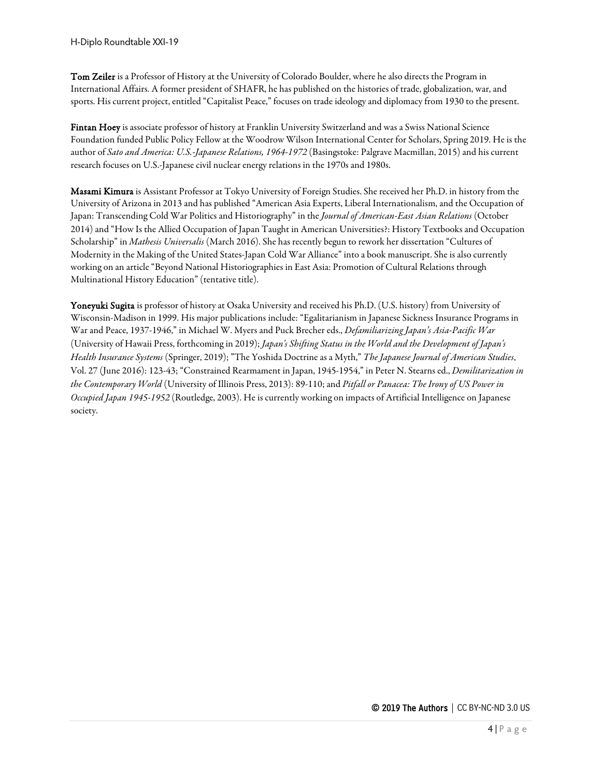Tom Zeiler is a Professor of History at the University of Colorado Boulder, where he also directs the Program in International Affairs. A former president of SHAFR, he has published on the histories of trade, globalization, war, and sports. His current project, entitled "Capitalist Peace," focuses on trade ideology and diplomacy from 1930 to the present.

Fintan Hoey is associate professor of history at Franklin University Switzerland and was a Swiss National Science Foundation funded Public Policy Fellow at the Woodrow Wilson International Center for Scholars, Spring 2019. He is the author of *Sato and America: U.S.-Japanese Relations, 1964-1972* (Basingstoke: Palgrave Macmillan, 2015) and his current research focuses on U.S.-Japanese civil nuclear energy relations in the 1970s and 1980s.

Masami Kimura is Assistant Professor at Tokyo University of Foreign Studies. She received her Ph.D. in history from the University of Arizona in 2013 and has published "American Asia Experts, Liberal Internationalism, and the Occupation of Japan: Transcending Cold War Politics and Historiography" in the *Journal of American-East Asian Relations* (October 2014) and "How Is the Allied Occupation of Japan Taught in American Universities?: History Textbooks and Occupation Scholarship" in *Mathesis Universalis* (March 2016). She has recently begun to rework her dissertation "Cultures of Modernity in the Making of the United States-Japan Cold War Alliance" into a book manuscript. She is also currently working on an article "Beyond National Historiographies in East Asia: Promotion of Cultural Relations through Multinational History Education" (tentative title).

Yoneyuki Sugita is professor of history at Osaka University and received his Ph.D. (U.S. history) from University of Wisconsin-Madison in 1999. His major publications include: "Egalitarianism in Japanese Sickness Insurance Programs in War and Peace, 1937-1946," in Michael W. Myers and Puck Brecher eds., *Defamiliarizing Japan's Asia-Pacific War* (University of Hawaii Press, forthcoming in 2019); *Japan's Shifting Status in the World and the Development of Japan's Health Insurance Systems* (Springer, 2019); "The Yoshida Doctrine as a Myth," *The Japanese Journal of American Studies*, Vol. 27 (June 2016): 123-43; "Constrained Rearmament in Japan, 1945-1954," in Peter N. Stearns ed., *Demilitarization in the Contemporary World* (University of Illinois Press, 2013): 89-110; and *Pitfall or Panacea: The Irony of US Power in Occupied Japan 1945-1952* (Routledge, 2003). He is currently working on impacts of Artificial Intelligence on Japanese society.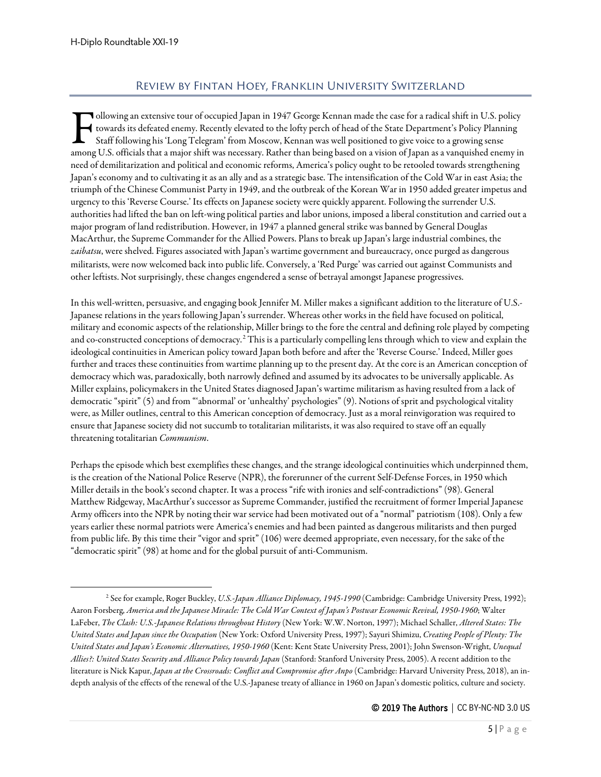# Review by Fintan Hoey, Franklin University Switzerland

<span id="page-4-0"></span>ollowing an extensive tour of occupied Japan in 1947 George Kennan made the case for a radical shift in U.S. policy towards its defeated enemy. Recently elevated to the lofty perch of head of the State Department's Policy Planning Staff following his 'Long Telegram' from Moscow, Kennan was well positioned to give voice to a growing sense among U.S. officials that a major shift was necessary. Rather than being based on a vision of Japan as a vanquished enemy in than being based on a vision of Japan as a vanquished enemy in along U.S. officials that a major need of demilitarization and political and economic reforms, America's policy ought to be retooled towards strengthening Japan's economy and to cultivating it as an ally and as a strategic base. The intensification of the Cold War in east Asia; the triumph of the Chinese Communist Party in 1949, and the outbreak of the Korean War in 1950 added greater impetus and urgency to this 'Reverse Course.' Its effects on Japanese society were quickly apparent. Following the surrender U.S. authorities had lifted the ban on left-wing political parties and labor unions, imposed a liberal constitution and carried out a major program of land redistribution. However, in 1947 a planned general strike was banned by General Douglas MacArthur, the Supreme Commander for the Allied Powers. Plans to break up Japan's large industrial combines, the *zaibatsu*, were shelved. Figures associated with Japan's wartime government and bureaucracy, once purged as dangerous militarists, were now welcomed back into public life. Conversely, a 'Red Purge' was carried out against Communists and other leftists. Not surprisingly, these changes engendered a sense of betrayal amongst Japanese progressives.

In this well-written, persuasive, and engaging book Jennifer M. Miller makes a significant addition to the literature of U.S.- Japanese relations in the years following Japan's surrender. Whereas other works in the field have focused on political, military and economic aspects of the relationship, Miller brings to the fore the central and defining role played by competing and co-constructed conceptions of democracy.[2](#page-4-1) This is a particularly compelling lens through which to view and explain the ideological continuities in American policy toward Japan both before and after the 'Reverse Course.' Indeed, Miller goes further and traces these continuities from wartime planning up to the present day. At the core is an American conception of democracy which was, paradoxically, both narrowly defined and assumed by its advocates to be universally applicable. As Miller explains, policymakers in the United States diagnosed Japan's wartime militarism as having resulted from a lack of democratic "spirit" (5) and from "'abnormal' or 'unhealthy' psychologies" (9). Notions of sprit and psychological vitality were, as Miller outlines, central to this American conception of democracy. Just as a moral reinvigoration was required to ensure that Japanese society did not succumb to totalitarian militarists, it was also required to stave off an equally threatening totalitarian *Communism*.

Perhaps the episode which best exemplifies these changes, and the strange ideological continuities which underpinned them, is the creation of the National Police Reserve (NPR), the forerunner of the current Self-Defense Forces, in 1950 which Miller details in the book's second chapter. It was a process "rife with ironies and self-contradictions" (98). General Matthew Ridgeway, MacArthur's successor as Supreme Commander, justified the recruitment of former Imperial Japanese Army officers into the NPR by noting their war service had been motivated out of a "normal" patriotism (108). Only a few years earlier these normal patriots were America's enemies and had been painted as dangerous militarists and then purged from public life. By this time their "vigor and sprit" (106) were deemed appropriate, even necessary, for the sake of the "democratic spirit" (98) at home and for the global pursuit of anti-Communism.

<span id="page-4-1"></span><sup>2</sup> See for example, Roger Buckley, *U.S.-Japan Alliance Diplomacy, 1945-1990* (Cambridge: Cambridge University Press, 1992); Aaron Forsberg, *America and the Japanese Miracle: The Cold War Context of Japan's Postwar Economic Revival, 1950-1960*; Walter LaFeber, *The Clash: U.S.-Japanese Relations throughout History* (New York: W.W. Norton, 1997); Michael Schaller, *Altered States: The United States and Japan since the Occupation* (New York: Oxford University Press, 1997); Sayuri Shimizu, *Creating People of Plenty: The United States and Japan's Economic Alternatives, 1950-1960* (Kent: Kent State University Press, 2001); John Swenson-Wright, *Unequal Allies?: United States Security and Alliance Policy towards Japan* (Stanford: Stanford University Press, 2005). A recent addition to the literature is Nick Kapur, *Japan at the Crossroads: Conflict and Compromise after Anpo* (Cambridge: Harvard University Press, 2018), an indepth analysis of the effects of the renewal of the U.S.-Japanese treaty of alliance in 1960 on Japan's domestic politics, culture and society.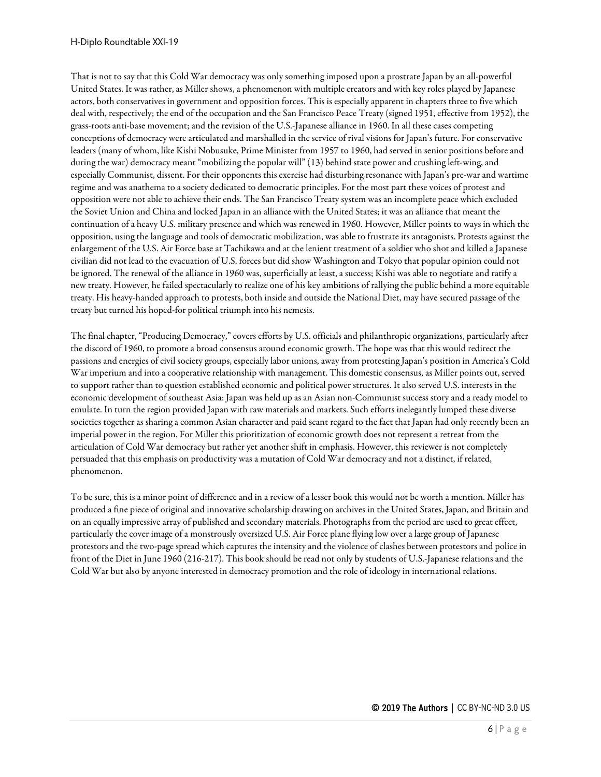That is not to say that this Cold War democracy was only something imposed upon a prostrate Japan by an all-powerful United States. It was rather, as Miller shows, a phenomenon with multiple creators and with key roles played by Japanese actors, both conservatives in government and opposition forces. This is especially apparent in chapters three to five which deal with, respectively; the end of the occupation and the San Francisco Peace Treaty (signed 1951, effective from 1952), the grass-roots anti-base movement; and the revision of the U.S.-Japanese alliance in 1960. In all these cases competing conceptions of democracy were articulated and marshalled in the service of rival visions for Japan's future. For conservative leaders (many of whom, like Kishi Nobusuke, Prime Minister from 1957 to 1960, had served in senior positions before and during the war) democracy meant "mobilizing the popular will" (13) behind state power and crushing left-wing, and especially Communist, dissent. For their opponents this exercise had disturbing resonance with Japan's pre-war and wartime regime and was anathema to a society dedicated to democratic principles. For the most part these voices of protest and opposition were not able to achieve their ends. The San Francisco Treaty system was an incomplete peace which excluded the Soviet Union and China and locked Japan in an alliance with the United States; it was an alliance that meant the continuation of a heavy U.S. military presence and which was renewed in 1960. However, Miller points to ways in which the opposition, using the language and tools of democratic mobilization, was ableto frustrate its antagonists. Protests against the enlargement of the U.S. Air Force base at Tachikawa and at the lenient treatment of a soldier who shot and killed a Japanese civilian did not lead to the evacuation of U.S. forces but did show Washington and Tokyo that popular opinion could not be ignored. The renewal of the alliance in 1960 was, superficially at least, a success; Kishi was able to negotiate and ratify a new treaty. However, he failed spectacularly to realize one of his key ambitions of rallying the public behind a more equitable treaty. His heavy-handed approach to protests, both inside and outside the National Diet, may have secured passage of the treaty but turned his hoped-for political triumph into his nemesis.

The final chapter, "Producing Democracy," covers efforts by U.S. officials and philanthropic organizations, particularly after the discord of 1960, to promote a broad consensus around economic growth. The hope was that this would redirect the passions and energies of civil society groups, especially labor unions, away from protesting Japan's position in America's Cold War imperium and into a cooperative relationship with management. This domestic consensus, as Miller points out, served to support rather than to question established economic and political power structures. It also served U.S. interests in the economic development of southeast Asia: Japan was held up as an Asian non-Communist success story and a ready model to emulate. In turn the region provided Japan with raw materials and markets. Such efforts inelegantly lumped these diverse societies together as sharing a common Asian character and paid scant regard to the fact that Japan had only recently been an imperial power in the region. For Miller this prioritization of economic growth does not represent a retreat from the articulation of Cold War democracy but rather yet another shift in emphasis. However, this reviewer is not completely persuaded that this emphasis on productivity was a mutation of Cold War democracy and not a distinct, if related, phenomenon.

To be sure, this is a minor point of difference and in a review of a lesser book this would not be worth a mention. Miller has produced a fine piece of original and innovative scholarship drawing on archives in the United States, Japan, and Britain and on an equally impressive array of published and secondary materials. Photographs from the period are used to great effect, particularly the cover image of a monstrously oversized U.S. Air Force plane flying low over alarge group of Japanese protestors and the two-page spread which captures the intensity and the violence of clashes between protestors and police in front of the Diet in June 1960 (216-217). This book should be read not only by students of U.S.-Japanese relations and the Cold War but also by anyone interested in democracy promotion and the role of ideology in international relations.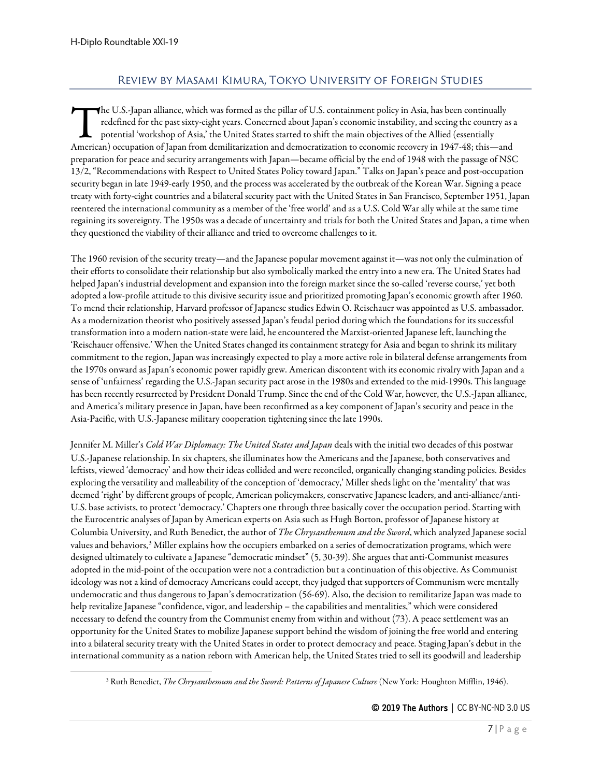# Review by Masami Kimura, Tokyo University of Foreign Studies

<span id="page-6-0"></span>he U.S.-Japan alliance, which was formed as the pillar of U.S. containment policy in Asia, has been continually redefined for the past sixty-eight years. Concerned about Japan's economic instability, and seeing the country as a potential 'workshop of Asia,' the United States started to shift the main objectives of the Allied (essentially The U.S.-Japan alliance, which was formed as the pillar of U.S. containment policy in Asia, has been continually redefined for the past sixty-eight years. Concerned about Japan's economic instability, and seeing the countr preparation for peace and security arrangements with Japan—became official by the end of 1948 with the passage of NSC 13/2, "Recommendations with Respect to United States Policy toward Japan." Talks on Japan's peace and post-occupation security began in late 1949-early 1950, and the process was accelerated by the outbreak of the Korean War. Signing a peace treaty with forty-eight countries and a bilateral security pact with the United States in San Francisco, September 1951, Japan reentered the international community as a member of the 'free world' and as a U.S. Cold War ally while at the same time regaining its sovereignty. The 1950s was a decade of uncertainty and trials for both the United States and Japan, a time when they questioned the viability of their alliance and tried to overcome challenges to it.

The 1960 revision of the security treaty—and the Japanese popular movement against it—was not only the culmination of their efforts to consolidate their relationship but also symbolically marked the entry into a new era. The United States had helped Japan's industrial development and expansion into the foreign market since the so-called 'reverse course,' yet both adopted a low-profile attitude to this divisive security issue and prioritized promoting Japan's economic growth after 1960. To mend their relationship, Harvard professor of Japanese studies Edwin O. Reischauer was appointed as U.S. ambassador. As a modernization theorist who positively assessed Japan's feudal period during which the foundations for its successful transformation into a modern nation-state were laid, he encountered the Marxist-oriented Japanese left, launching the 'Reischauer offensive.' When the United States changed its containment strategy for Asia and began to shrink its military commitment to the region, Japan was increasingly expected to play a more active role in bilateral defense arrangements from the 1970s onward as Japan's economic power rapidly grew. American discontent with its economic rivalry with Japan and a sense of 'unfairness' regarding the U.S.-Japan security pact arose in the 1980s and extended to the mid-1990s. This language has been recently resurrected by President Donald Trump. Since the end of the Cold War, however, the U.S.-Japan alliance, and America's military presence in Japan, have been reconfirmed as a key component of Japan's security and peace in the Asia-Pacific, with U.S.-Japanese military cooperation tightening since the late 1990s.

Jennifer M. Miller's *Cold War Diplomacy: The United States and Japan* deals with the initial two decades of this postwar U.S.-Japanese relationship. In six chapters, she illuminates how the Americans and the Japanese, both conservatives and leftists, viewed 'democracy' and how their ideas collided and were reconciled, organically changing standing policies. Besides exploring the versatility and malleability of the conception of 'democracy,' Miller sheds light on the 'mentality' that was deemed 'right' by different groups of people, American policymakers, conservative Japanese leaders, and anti-alliance/anti-U.S. base activists, to protect 'democracy.' Chapters one through three basically cover the occupation period. Starting with the Eurocentric analyses of Japan by American experts on Asia such as Hugh Borton, professor of Japanese history at Columbia University, and Ruth Benedict, the author of *The Chrysanthemum and the Sword*, which analyzed Japanese social values and behaviors,<sup>[3](#page-6-1)</sup> Miller explains how the occupiers embarked on a series of democratization programs, which were designed ultimately to cultivate a Japanese "democratic mindset" (5, 30-39). She argues that anti-Communist measures adopted in the mid-point of the occupation were not a contradiction but a continuation of this objective. As Communist ideology was not a kind of democracy Americans could accept, they judged that supporters of Communism were mentally undemocratic and thus dangerous to Japan's democratization (56-69). Also, the decision to remilitarize Japan was made to help revitalize Japanese "confidence, vigor, and leadership – the capabilities and mentalities," which were considered necessary to defend the country from the Communist enemy from within and without (73). A peace settlement was an opportunity for the United States to mobilize Japanese support behind the wisdom of joining the free world and entering into a bilateral security treaty with the United States in order to protect democracy and peace. Staging Japan's debut in the international community as a nation reborn with American help, the United States tried to sell its goodwill and leadership

<span id="page-6-1"></span><sup>3</sup> Ruth Benedict, *The Chrysanthemum and the Sword: Patterns of Japanese Culture* (New York: Houghton Mifflin, 1946).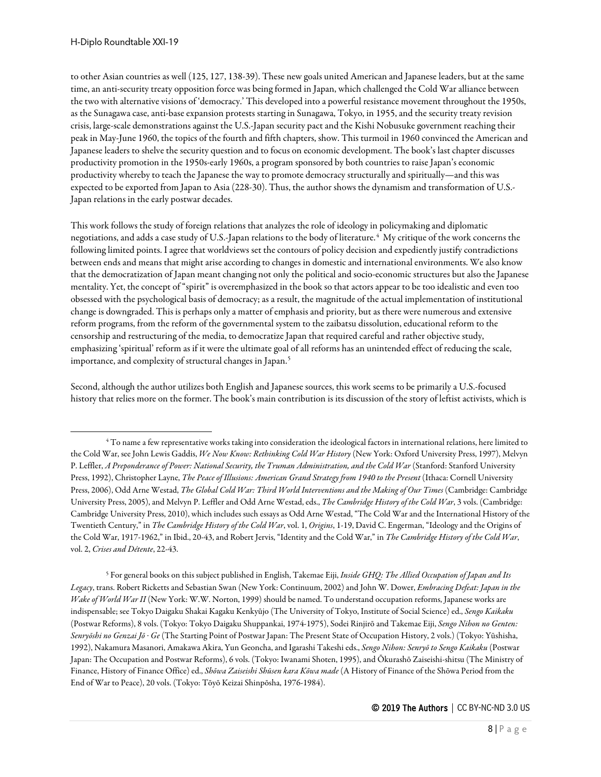to other Asian countries as well (125, 127, 138-39). These new goals united American and Japanese leaders, but at the same time, an anti-security treaty opposition force was being formed in Japan, which challenged the Cold War alliance between the two with alternative visions of 'democracy.' This developed into a powerful resistance movement throughout the 1950s, as the Sunagawa case, anti-base expansion protests starting in Sunagawa, Tokyo, in 1955, and the security treaty revision crisis, large-scale demonstrations against the U.S.-Japan security pact and the Kishi Nobusuke government reaching their peak in May-June 1960, the topics of the fourth and fifth chapters, show. This turmoil in 1960 convinced the American and Japanese leaders to shelve the security question and to focus on economic development. The book's last chapter discusses productivity promotion in the 1950s-early 1960s, a program sponsored by both countries to raise Japan's economic productivity whereby to teach the Japanese the way to promote democracy structurally and spiritually—and this was expected to be exported from Japan to Asia (228-30). Thus, the author shows the dynamism and transformation of U.S.- Japan relations in the early postwar decades.

This work follows the study of foreign relations that analyzes the role of ideology in policymaking and diplomatic negotiations, and adds a case study of U.S.-Japan relations to the body of literature.[4](#page-7-0) My critique of the work concerns the following limited points. I agree that worldviews set the contours of policy decision and expediently justify contradictions between ends and means that might arise according to changes in domestic and international environments. We also know that the democratization of Japan meant changing not only the political and socio-economic structures but also the Japanese mentality. Yet, the concept of "spirit" is overemphasized in the book so that actors appear to be too idealistic and even too obsessed with the psychological basis of democracy; as a result, the magnitude of the actual implementation of institutional change is downgraded. This is perhaps only a matter of emphasis and priority, but as there were numerous and extensive reform programs, from the reform of the governmental system to the zaibatsu dissolution, educational reform to the censorship and restructuring of the media, to democratize Japan that required careful and rather objective study, emphasizing 'spiritual' reform as if it were the ultimate goal of all reforms has an unintended effect of reducing the scale, importance, and complexity of structural changes in Japan.<sup>[5](#page-7-1)</sup>

Second, although the author utilizes both English and Japanese sources, this work seems to be primarily a U.S.-focused history that relies more on the former. The book's main contribution is its discussion of the story of leftist activists, which is

<span id="page-7-1"></span><sup>5</sup> For general books on this subject published in English, Takemae Eiji, *Inside GHQ: The Allied Occupation of Japan and Its Legacy*, trans. Robert Ricketts and Sebastian Swan (New York: Continuum, 2002) and John W. Dower, *Embracing Defeat: Japan in the Wake of World War II* (New York: W.W. Norton, 1999) should be named. To understand occupation reforms, Japanese works are indispensable; see Tokyo Daigaku Shakai Kagaku Kenkyūjo (The University of Tokyo, Institute of Social Science) ed., *Sengo Kaikaku* (Postwar Reforms), 8 vols. (Tokyo: Tokyo Daigaku Shuppankai, 1974-1975), Sodei Rinjirō and Takemae Eiji, *Sengo Nihon no Genten: Senryōshi no Genzai Jō · Ge* (The Starting Point of Postwar Japan: The Present State of Occupation History, 2 vols.) (Tokyo: Yūshisha, 1992), Nakamura Masanori, Amakawa Akira, Yun Geoncha, and Igarashi Takeshi eds., *Sengo Nihon: Senryō to Sengo Kaikaku* (Postwar Japan: The Occupation and Postwar Reforms), 6 vols. (Tokyo: Iwanami Shoten, 1995), and Ōkurashō Zaiseishi-shitsu (The Ministry of Finance, History of Finance Office) ed., *Shōwa Zaiseishi Shūsen kara Kōwa made* (A History of Finance of the Shōwa Period from the End of War to Peace), 20 vols. (Tokyo: Tōyō Keizai Shinpōsha, 1976-1984).

<span id="page-7-0"></span><sup>4</sup> To name a few representative works taking into consideration the ideological factors in international relations, here limited to the Cold War, see John Lewis Gaddis, *We Now Know: Rethinking Cold War History* (New York: Oxford University Press, 1997), Melvyn P. Leffler, *A Preponderance of Power: National Security, the Truman Administration, and the Cold War* (Stanford: Stanford University Press, 1992), Christopher Layne, *The Peace of Illusions: American Grand Strategy from 1940 to the Present* (Ithaca: Cornell University Press, 2006), Odd Arne Westad, *The Global Cold War: Third World Interventions and the Making of Our Times* (Cambridge: Cambridge University Press, 2005), and Melvyn P. Leffler and Odd Arne Westad, eds., *The Cambridge History of the Cold War*, 3 vols. (Cambridge: Cambridge University Press, 2010), which includes such essays as Odd Arne Westad, "The Cold War and the International History of the Twentieth Century," in *The Cambridge History of the Cold War*, vol. 1, *Origins*, 1-19, David C. Engerman, "Ideology and the Origins of the Cold War, 1917-1962," in Ibid., 20-43, and Robert Jervis, "Identity and the Cold War," in *The Cambridge History of the Cold War*, vol. 2, *Crises and Détente*, 22-43.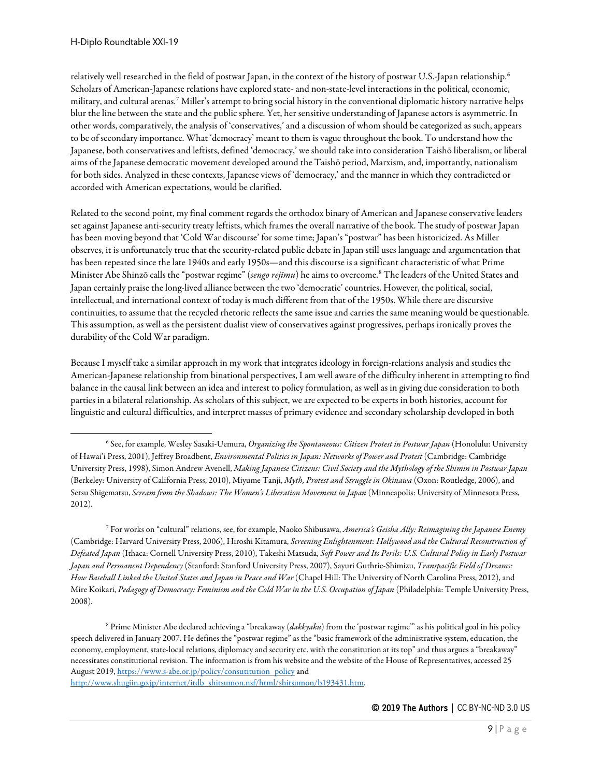relatively well researched in the field of postwar Japan, in the context of the history of postwar U.S.-Japan relationship.[6](#page-8-0) Scholars of American-Japanese relations have explored state- and non-state-level interactions in the political, economic, military, and cultural arenas.[7](#page-8-1) Miller's attempt to bring social history in the conventional diplomatic history narrative helps blur the line between the state and the public sphere. Yet, her sensitive understanding of Japanese actors is asymmetric. In other words, comparatively, the analysis of 'conservatives,' and a discussion of whom should be categorized as such, appears to be of secondary importance. What 'democracy' meant to them is vague throughout the book. To understand how the Japanese, both conservatives and leftists, defined 'democracy,' we should take into consideration Taishō liberalism, or liberal aims of the Japanese democratic movement developed around the Taishō period, Marxism, and, importantly, nationalism for both sides. Analyzed in these contexts, Japanese views of 'democracy,' and the manner in which they contradicted or accorded with American expectations, would be clarified.

Related to the second point, my final comment regards the orthodox binary of American and Japanese conservative leaders set against Japanese anti-security treaty leftists, which frames the overall narrative of the book. The study of postwar Japan has been moving beyond that 'Cold War discourse' for some time; Japan's "postwar" has been historicized. As Miller observes, it is unfortunately true that the security-related public debate in Japan still uses language and argumentation that has been repeated since the late 1940s and early 1950s—and this discourse is a significant characteristic of what Prime Minister Abe Shinzō calls the "postwar regime" (*sengo rejīmu*) he aims to overcome.[8](#page-8-2) The leaders of the United States and Japan certainly praise the long-lived alliance between the two 'democratic' countries. However, the political, social, intellectual, and international context of today is much different from that of the 1950s. While there are discursive continuities, to assume that the recycled rhetoric reflects the same issue and carries the same meaning would be questionable. This assumption, as well as the persistent dualist view of conservatives against progressives, perhaps ironically proves the durability of the Cold War paradigm.

Because I myself take a similar approach in my work that integrates ideology in foreign-relations analysis and studies the American-Japanese relationship from binational perspectives, I am well aware of the difficulty inherent in attempting to find balance in the causal link between an idea and interest to policy formulation, as well as in giving due consideration to both parties in a bilateral relationship. As scholars of this subject, we are expected to be experts in both histories, account for linguistic and cultural difficulties, and interpret masses of primary evidence and secondary scholarship developed in both

<span id="page-8-1"></span><sup>7</sup> For works on "cultural" relations, see, for example, Naoko Shibusawa, *America's Geisha Ally: Reimagining the Japanese Enemy* (Cambridge: Harvard University Press, 2006), Hiroshi Kitamura, *Screening Enlightenment: Hollywood and the Cultural Reconstruction of Defeated Japan* (Ithaca: Cornell University Press, 2010), Takeshi Matsuda, *Soft Power and Its Perils: U.S. Cultural Policy in Early Postwar Japan and Permanent Dependency* (Stanford: Stanford University Press, 2007), Sayuri Guthrie-Shimizu, *Transpacific Field of Dreams: How Baseball Linked the United States and Japan in Peace and War* (Chapel Hill: The University of North Carolina Press, 2012), and Mire Koikari, *Pedagogy of Democracy: Feminism and the Cold War in the U.S. Occupation of Japan* (Philadelphia: Temple University Press, 2008).

<span id="page-8-2"></span><sup>8</sup> Prime Minister Abe declared achieving a "breakaway (*dakkyaku*) from the 'postwar regime'" as his political goal in his policy speech delivered in January 2007. He defines the "postwar regime" as the "basic framework of the administrative system, education, the economy, employment, state-local relations, diplomacy and security etc. with the constitution at its top" and thus argues a "breakaway" necessitates constitutional revision. The information is from his website and the website of the House of Representatives, accessed 25 August 2019[, https://www.s-abe.or.jp/policy/consutitution\\_policy](https://www.s-abe.or.jp/policy/consutitution_policy) and [http://www.shugiin.go.jp/internet/itdb\\_shitsumon.nsf/html/shitsumon/b193431.htm.](http://www.shugiin.go.jp/internet/itdb_shitsumon.nsf/html/shitsumon/b193431.htm)

<span id="page-8-0"></span><sup>6</sup> See, for example, Wesley Sasaki-Uemura, *Organizing the Spontaneous: Citizen Protest in Postwar Japan* (Honolulu: University of Hawai'i Press, 2001), Jeffrey Broadbent, *Environmental Politics in Japan: Networks of Power and Protest* (Cambridge: Cambridge University Press, 1998), Simon Andrew Avenell, *Making Japanese Citizens: Civil Society and the Mythology of the Shimin in Postwar Japan* (Berkeley: University of California Press, 2010), Miyume Tanji, *Myth, Protest and Struggle in Okinawa* (Oxon: Routledge, 2006), and Setsu Shigematsu, *Scream from the Shadows: The Women's Liberation Movement in Japan* (Minneapolis: University of Minnesota Press, 2012).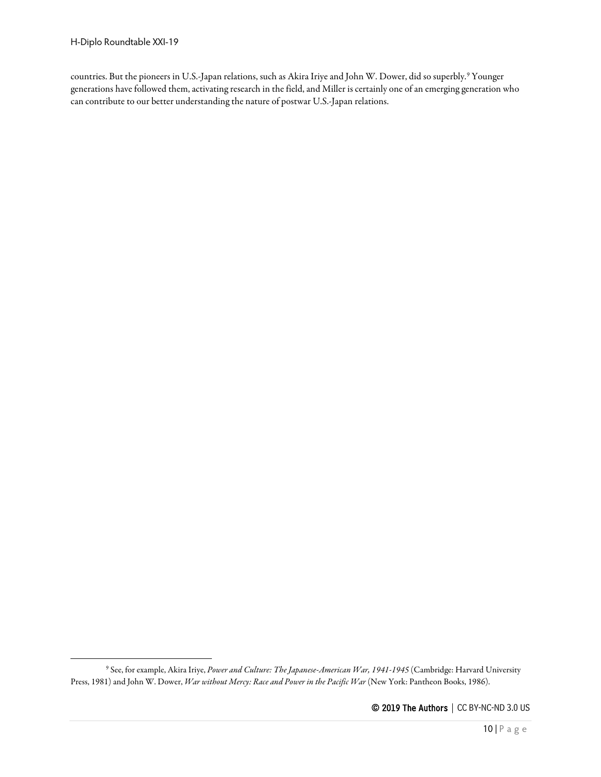countries. But the pioneers in U.S.-Japan relations, such as Akira Iriye and John W. Dower, did so superbly.[9](#page-9-0) Younger generations have followed them, activating research in the field, and Miller is certainly one of an emerging generation who can contribute to our better understanding the nature of postwar U.S.-Japan relations.

<span id="page-9-0"></span><sup>9</sup> See, for example, Akira Iriye, *Power and Culture: The Japanese-American War, 1941-1945* (Cambridge: Harvard University Press, 1981) and John W. Dower, *War without Mercy: Race and Power in the Pacific War* (New York: Pantheon Books, 1986).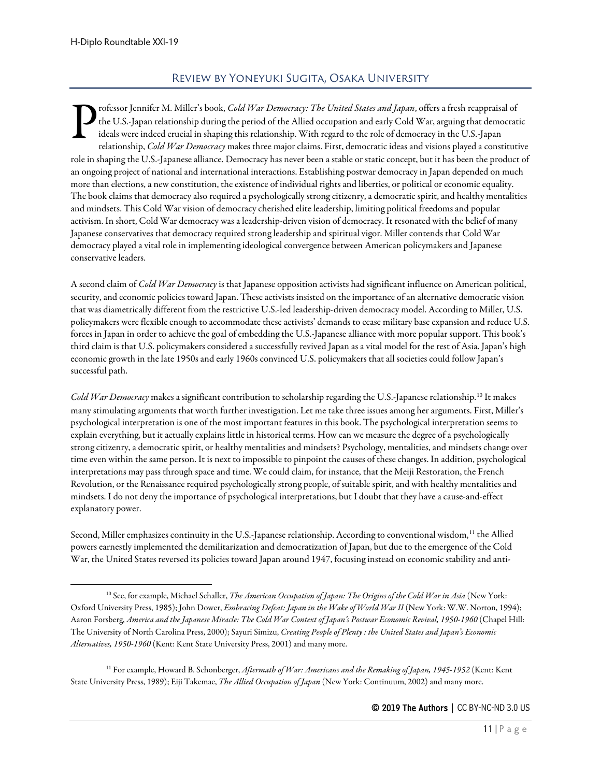# Review by Yoneyuki Sugita, Osaka University

<span id="page-10-0"></span>rofessor Jennifer M. Miller's book, *Cold War Democracy: The United States and Japan*, offers a fresh reappraisal of the U.S.-Japan relationship during the period of the Allied occupation and early Cold War, arguing that democratic ideals were indeed crucial in shaping this relationship. With regard to the role of democracy in the U.S.-Japan relationship, *Cold War Democracy* makes three major claims. First, democratic ideas and visions played a constitutive role in shaping the U.S.-Japanese alliance. Democracy has never been a stable or static concept, but it has been the product of an ongoing project of national and international interactions. Establishing postwar democracy in Japan depended on much more than elections, a new constitution, the existence of individual rights and liberties, or political or economic equality. The book claims that democracy also required a psychologically strong citizenry, a democratic spirit, and healthy mentalities and mindsets. This Cold War vision of democracy cherished elite leadership, limiting political freedoms and popular activism. In short, Cold War democracy was a leadership-driven vision of democracy. It resonated with the belief of many Japanese conservatives that democracy required strong leadership and spiritual vigor. Miller contends that Cold War democracy played a vital role in implementing ideological convergence between American policymakers and Japanese conservative leaders. P

A second claim of *Cold War Democracy* is that Japanese opposition activists had significant influence on American political, security, and economic policies toward Japan. These activists insisted on the importance of an alternative democratic vision that was diametrically different from the restrictive U.S.-led leadership-driven democracy model. According to Miller, U.S. policymakers were flexible enough to accommodate these activists' demands to cease military base expansion and reduce U.S. forces in Japan in order to achieve the goal of embedding the U.S.-Japanese alliance with more popular support. This book's third claim is that U.S. policymakers considered a successfully revived Japan as a vital model for the rest of Asia. Japan's high economic growth in the late 1950s and early 1960s convinced U.S. policymakers that all societies could follow Japan's successful path.

*Cold War Democracy* makes a significant contribution to scholarship regarding the U.S.-Japanese relationship.[10](#page-10-1) It makes many stimulating arguments that worth further investigation. Let me take three issues among her arguments. First, Miller's psychological interpretation is one of the most important features in this book. The psychological interpretation seems to explain everything, but it actually explains little in historical terms. How can we measure the degree of a psychologically strong citizenry, a democratic spirit, or healthy mentalities and mindsets? Psychology, mentalities, and mindsets change over time even within the same person. It is next to impossible to pinpoint the causes of these changes. In addition, psychological interpretations may pass through space and time. We could claim, for instance, that the Meiji Restoration, the French Revolution, or the Renaissance required psychologically strong people, of suitable spirit, and with healthy mentalities and mindsets. I do not deny the importance of psychological interpretations, but I doubt that they have a cause-and-effect explanatory power.

Second, Miller emphasizes continuity in the U.S.-Japanese relationship. According to conventional wisdom,<sup>[11](#page-10-2)</sup> the Allied powers earnestly implemented the demilitarization and democratization of Japan, but due to the emergence of the Cold War, the United States reversed its policies toward Japan around 1947, focusing instead on economic stability and anti-

<span id="page-10-1"></span><sup>10</sup> See, for example, Michael Schaller, *The American Occupation of Japan: The Origins of the Cold War in Asia* (New York: Oxford University Press, 1985); John Dower, *Embracing Defeat: Japan in the Wake of World War II* (New York: W.W. Norton, 1994); Aaron Forsberg, *America and the Japanese Miracle: The Cold War Context of Japan's Postwar Economic Revival, 1950-1960* (Chapel Hill: The University of North Carolina Press, 2000); Sayuri Simizu, *Creating People of Plenty : the United States and Japan's Economic Alternatives, 1950-1960* (Kent: Kent State University Press, 2001) and many more.

<span id="page-10-2"></span><sup>&</sup>lt;sup>11</sup> For example, Howard B. Schonberger, Aftermath of War: Americans and the Remaking of Japan, 1945-1952 (Kent: Kent State University Press, 1989); Eiji Takemae, *The Allied Occupation of Japan* (New York: Continuum, 2002) and many more.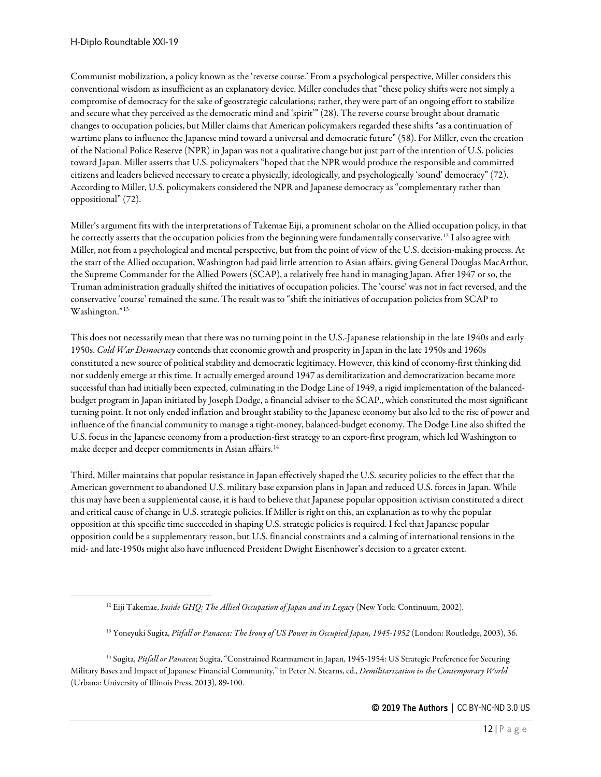Communist mobilization, a policy known as the 'reverse course.' From a psychological perspective, Miller considers this conventional wisdom as insufficient as an explanatory device. Miller concludes that "these policy shifts were not simply a compromise of democracy for the sake of geostrategic calculations; rather, they were part of an ongoing effort to stabilize and secure what they perceived as the democratic mind and 'spirit'" (28). The reverse course brought about dramatic changes to occupation policies, but Miller claims that American policymakers regarded these shifts "as a continuation of wartime plans to influence the Japanese mind toward a universal and democratic future" (58). For Miller, even the creation of the National Police Reserve (NPR) in Japan was not a qualitative change but just part of the intention of U.S. policies toward Japan. Miller asserts that U.S. policymakers "hoped that the NPR would produce the responsible and committed citizens and leaders believed necessary to create a physically, ideologically, and psychologically 'sound' democracy" (72). According to Miller, U.S. policymakers considered the NPR and Japanese democracy as "complementary rather than oppositional" (72).

Miller's argument fits with the interpretations of Takemae Eiji, a prominent scholar on the Allied occupation policy, in that he correctly asserts that the occupation policies from the beginning were fundamentally conservative.<sup>[12](#page-11-0)</sup> I also agree with Miller, not from a psychological and mental perspective, but from the point of view of the U.S. decision-making process. At the start of the Allied occupation, Washington had paid little attention to Asian affairs, giving General Douglas MacArthur, the Supreme Commander for the Allied Powers (SCAP), a relatively free hand in managing Japan. After 1947 or so, the Truman administration gradually shifted the initiatives of occupation policies. The 'course' was not in fact reversed, and the conservative 'course' remained the same. The result was to "shift the initiatives of occupation policies from SCAP to Washington."<sup>[13](#page-11-1)</sup>

This does not necessarily mean that there was no turning point in the U.S.-Japanese relationship in the late 1940s and early 1950s. *Cold War Democracy* contends that economic growth and prosperity in Japan in the late 1950s and 1960s constituted a new source of political stability and democratic legitimacy. However, this kind of economy-first thinking did not suddenly emerge at this time. It actually emerged around 1947 as demilitarization and democratization became more successful than had initially been expected, culminating in the Dodge Line of 1949, a rigid implementation of the balancedbudget program in Japan initiated by Joseph Dodge, a financial adviser to the SCAP., which constituted the most significant turning point. It not only ended inflation and brought stability to the Japanese economy but also led to the rise of power and influence of the financial community to manage a tight-money, balanced-budget economy. The Dodge Line also shifted the U.S. focus in the Japanese economy from a production-first strategy to an export-first program, which led Washington to make deeper and deeper commitments in Asian affairs.<sup>[14](#page-11-2)</sup>

Third, Miller maintains that popular resistance in Japan effectively shaped the U.S. security policies to the effect that the American government to abandoned U.S. military base expansion plans in Japan and reduced U.S. forces in Japan. While this may have been a supplemental cause, it is hard to believe that Japanese popular opposition activism constituted a direct and critical cause of change in U.S. strategic policies. If Miller is right on this, an explanation as to why the popular opposition at this specific time succeeded in shaping U.S. strategic policies is required. I feel that Japanese popular opposition could be a supplementary reason, but U.S. financial constraints and a calming of international tensions in the mid- and late-1950s might also have influenced President Dwight Eisenhower's decision to a greater extent.

<sup>12</sup> Eiji Takemae, *Inside GHQ: The Allied Occupation of Japan and its Legacy* (New York: Continuum, 2002).

<sup>13</sup> Yoneyuki Sugita, *Pitfall or Panacea: The Irony of US Power in Occupied Japan, 1945-1952* (London: Routledge, 2003), 36.

<span id="page-11-2"></span><span id="page-11-1"></span><span id="page-11-0"></span><sup>14</sup> Sugita, *Pitfall or Panacea*; Sugita, "Constrained Rearmament in Japan, 1945-1954: US Strategic Preference for Securing Military Bases and Impact of Japanese Financial Community," in Peter N. Stearns, ed., *Demilitarization in the Contemporary World*  (Urbana: University of Illinois Press, 2013), 89-100.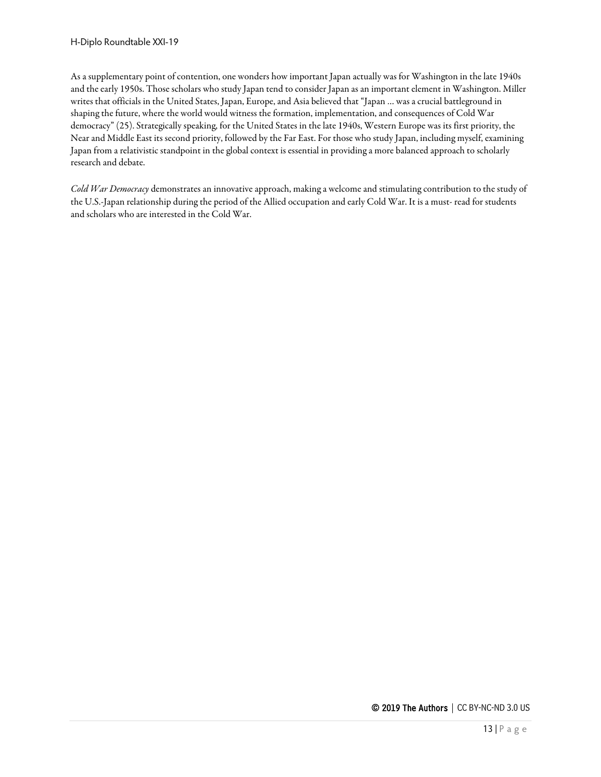As a supplementary point of contention, one wonders how important Japan actually was for Washington in the late 1940s and the early 1950s. Those scholars who study Japan tend to consider Japan as an important element in Washington. Miller writes that officials in the United States, Japan, Europe, and Asia believed that "Japan … was a crucial battleground in shaping the future, where the world would witness the formation, implementation, and consequences of Cold War democracy" (25). Strategically speaking, for the United States in the late 1940s, Western Europe was its first priority, the Near and Middle East its second priority, followed by the Far East. For those who study Japan, including myself, examining Japan from a relativistic standpoint in the global context is essential in providing a more balanced approach to scholarly research and debate.

*Cold War Democracy* demonstrates an innovative approach, making a welcome and stimulating contribution to the study of the U.S.-Japan relationship during the period of the Allied occupation and early Cold War. It is a must- read for students and scholars who are interested in the Cold War.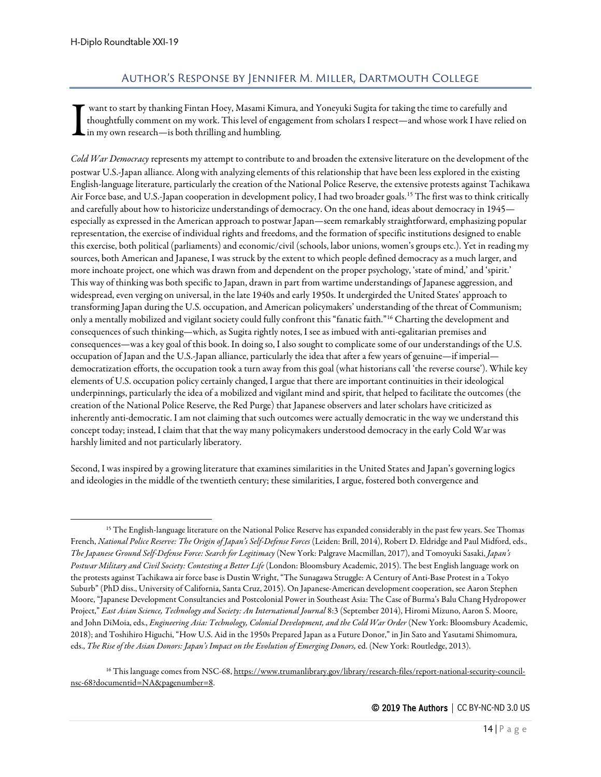# Author's Response by Jennifer M. Miller, Dartmouth College

<span id="page-13-0"></span>want to start by thanking Fintan Hoey, Masami Kimura, and Yoneyuki Sugita for taking the time to carefully and thoughtfully comment on my work. This level of engagement from scholars I respect—and whose work I have relied on  $\mathsf{L}$  in my own research—is both thrilling and humbling. I

*Cold War Democracy* represents my attempt to contribute to and broaden the extensive literature on the development of the postwar U.S.-Japan alliance. Along with analyzing elements of this relationship that have been less explored in the existing English-language literature, particularly the creation of the National Police Reserve, the extensive protests against Tachikawa Air Force base, and U.S.-Japan cooperation in development policy, I had two broader goals.<sup>[15](#page-13-1)</sup> The first was to think critically and carefully about how to historicize understandings of democracy. On the one hand, ideas about democracy in 1945 especially as expressed in the American approach to postwar Japan—seem remarkably straightforward, emphasizing popular representation, the exercise of individual rights and freedoms, and the formation of specific institutions designed to enable this exercise, both political (parliaments) and economic/civil (schools, labor unions, women's groups etc.). Yet in reading my sources, both American and Japanese, I was struck by the extent to which people defined democracy as a much larger, and more inchoate project, one which was drawn from and dependent on the proper psychology, 'state of mind,' and 'spirit.' This way of thinking was both specific to Japan, drawn in part from wartime understandings of Japanese aggression, and widespread, even verging on universal, in the late 1940s and early 1950s. It undergirded the United States' approach to transforming Japan during the U.S. occupation, and American policymakers' understanding of the threat of Communism; only a mentally mobilized and vigilant society could fully confront this "fanatic faith.["16](#page-13-2) Charting the development and consequences of such thinking—which, as Sugita rightly notes, I see as imbued with anti-egalitarian premises and consequences—was a key goal of this book. In doing so, I also sought to complicate some of our understandings of the U.S. occupation of Japan and the U.S.-Japan alliance, particularly the idea that after a few years of genuine—if imperial democratization efforts, the occupation took a turn away from this goal (what historians call 'the reverse course'). While key elements of U.S. occupation policy certainly changed, I argue that there are important continuities in their ideological underpinnings, particularly the idea of a mobilized and vigilant mind and spirit, that helped to facilitate the outcomes (the creation of the National Police Reserve, the Red Purge) that Japanese observers and later scholars have criticized as inherently anti-democratic. I am not claiming that such outcomes were actually democratic in the way we understand this concept today; instead, I claim that that the way many policymakers understood democracy in the early Cold War was harshly limited and not particularly liberatory.

Second, I was inspired by a growing literature that examines similarities in the United States and Japan's governing logics and ideologies in the middle of the twentieth century; these similarities, I argue, fostered both convergence and

<span id="page-13-1"></span><sup>&</sup>lt;sup>15</sup> The English-language literature on the National Police Reserve has expanded considerably in the past few years. See Thomas French, *National Police Reserve: The Origin of Japan's Self-Defense Forces* (Leiden: Brill, 2014), Robert D. Eldridge and Paul Midford, eds., *The Japanese Ground Self-Defense Force: Search for Legitimacy* (New York: Palgrave Macmillan, 2017), and Tomoyuki Sasaki, *Japan's Postwar Military and Civil Society: Contesting a Better Life* (London: Bloomsbury Academic, 2015). The best English language work on the protests against Tachikawa air force base is Dustin Wright, "The Sunagawa Struggle: A Century of Anti-Base Protest in a Tokyo Suburb" (PhD diss., University of California, Santa Cruz, 2015). On Japanese-American development cooperation, see Aaron Stephen Moore, "Japanese Development Consultancies and Postcolonial Power in Southeast Asia: The Case of Burma's Balu Chang Hydropower Project," *East Asian Science, Technology and Society: An International Journal* 8:3 (September 2014), Hiromi Mizuno, Aaron S. Moore, and John DiMoia, eds., *Engineering Asia: Technology, Colonial Development, and the Cold War Order* (New York: Bloomsbury Academic, 2018); and Toshihiro Higuchi, "How U.S. Aid in the 1950s Prepared Japan as a Future Donor," in Jin Sato and Yasutami Shimomura, eds., *The Rise of the Asian Donors: Japan's Impact on the Evolution of Emerging Donors,* ed. (New York: Routledge, 2013).

<span id="page-13-2"></span><sup>&</sup>lt;sup>16</sup> This language comes from NSC-68[, https://www.trumanlibrary.gov/library/research-files/report-national-security-council](https://www.trumanlibrary.gov/library/research-files/report-national-security-council-nsc-68?documentid=NA&pagenumber=8)[nsc-68?documentid=NA&pagenumber=8.](https://www.trumanlibrary.gov/library/research-files/report-national-security-council-nsc-68?documentid=NA&pagenumber=8)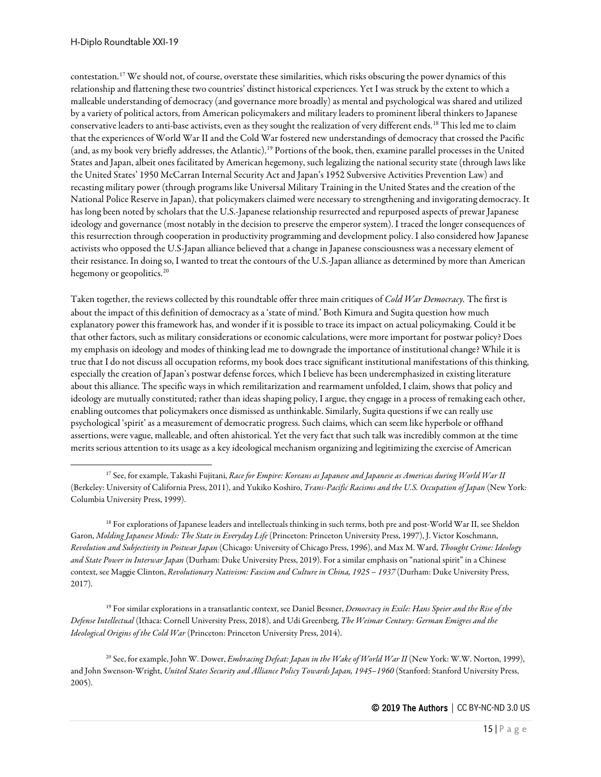contestation.[17](#page-14-0) We should not, of course, overstate these similarities, which risks obscuring the power dynamics of this relationship and flattening these two countries' distinct historical experiences. Yet I was struck by the extent to which a malleable understanding of democracy (and governance more broadly) as mental and psychological was shared and utilized by a variety of political actors, from American policymakers and military leaders to prominent liberal thinkers to Japanese conservative leaders to anti-base activists, even as they sought the realization of very different ends.[18](#page-14-1) This led me to claim that the experiences of World War II and the Cold War fostered new understandings of democracy that crossed the Pacific (and, as my book very briefly addresses, the Atlantic).[19](#page-14-2) Portions of the book, then, examine parallel processes in the United States and Japan, albeit ones facilitated by American hegemony, such legalizing the national security state (through laws like the United States' 1950 McCarran Internal Security Act and Japan's 1952 Subversive Activities Prevention Law) and recasting military power (through programs like Universal Military Training in the United States and the creation of the National Police Reserve in Japan), that policymakers claimed were necessary to strengthening and invigorating democracy. It has long been noted by scholars that the U.S.-Japanese relationship resurrected and repurposed aspects of prewar Japanese ideology and governance (most notably in the decision to preserve the emperor system). I traced the longer consequences of this resurrection through cooperation in productivity programming and development policy. I also considered how Japanese activists who opposed the U.S-Japan alliance believed that a change in Japanese consciousness was a necessary element of their resistance. In doing so, I wanted to treat the contours of the U.S.-Japan alliance as determined by more than American hegemony or geopolitics.<sup>[20](#page-14-3)</sup>

Taken together, the reviews collected by this roundtable offer three main critiques of *Cold War Democracy.* The first is about the impact of this definition of democracy as a 'state of mind.' Both Kimura and Sugita question how much explanatory power this framework has, and wonder if it is possible to trace its impact on actual policymaking. Could it be that other factors, such as military considerations or economic calculations, were more important for postwar policy? Does my emphasis on ideology and modes of thinking lead me to downgrade the importance of institutional change? While it is true that I do not discuss all occupation reforms, my book does trace significant institutional manifestations of this thinking, especially the creation of Japan's postwar defense forces, which I believe has been underemphasized in existing literature about this alliance. The specific ways in which remilitarization and rearmament unfolded, I claim, shows that policy and ideology are mutually constituted; rather than ideas shaping policy, I argue, they engage in a process of remaking each other, enabling outcomes that policymakers once dismissed as unthinkable. Similarly, Sugita questions if we can really use psychological 'spirit' as a measurement of democratic progress. Such claims, which can seem like hyperbole or offhand assertions, were vague, malleable, and often ahistorical. Yet the very fact that such talk was incredibly common at the time merits serious attention to its usage as a key ideological mechanism organizing and legitimizing the exercise of American

<span id="page-14-1"></span><sup>18</sup> For explorations of Japanese leaders and intellectuals thinking in such terms, both pre and post-World War II, see Sheldon Garon, *Molding Japanese Minds: The State in Everyday Life* (Princeton: Princeton University Press, 1997), J. Victor Koschmann, *Revolution and Subjectivity in Postwar Japan* (Chicago: University of Chicago Press, 1996), and Max M. Ward, *Thought Crime: Ideology and State Power in Interwar Japan* (Durham: Duke University Press, 2019). For a similar emphasis on "national spirit" in a Chinese context, see Maggie Clinton, *Revolutionary Nativism: Fascism and Culture in China, 1925 – 1937* (Durham: Duke University Press, 2017).

<span id="page-14-2"></span><sup>19</sup> For similar explorations in a transatlantic context, see Daniel Bessner, *Democracy in Exile: Hans Speier and the Rise of the Defense Intellectual* (Ithaca: Cornell University Press, 2018), and Udi Greenberg, *The Weimar Century: German Emigres and the Ideological Origins of the Cold War* (Princeton: Princeton University Press, 2014).

<span id="page-14-3"></span><sup>20</sup> See, for example, John W. Dower, *Embracing Defeat: Japan in the Wake of World War II* (New York: W.W. Norton, 1999), and John Swenson-Wright, *United States Security and Alliance Policy Towards Japan, 1945–1960* (Stanford: Stanford University Press, 2005).

© 2019 The Authors | CC BY-NC-ND 3.0 US

<span id="page-14-0"></span><sup>17</sup> See, for example, Takashi Fujitani, *Race for Empire: Koreans as Japanese and Japanese as Americas during World War II*  (Berkeley: University of California Press, 2011), and Yukiko Koshiro, *Trans-Pacific Racisms and the U.S. Occupation of Japan* (New York: Columbia University Press, 1999).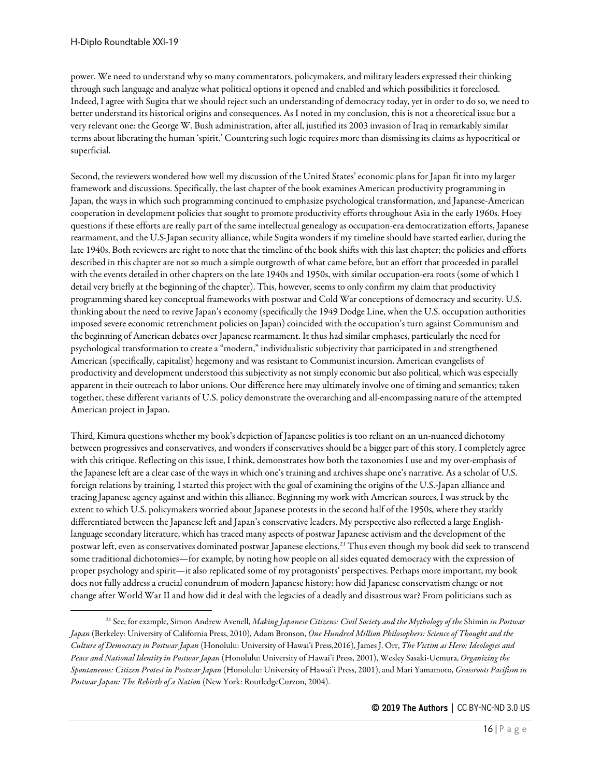power. We need to understand why so many commentators, policymakers, and military leaders expressed their thinking through such language and analyze what political options it opened and enabled and which possibilities it foreclosed. Indeed, I agree with Sugita that we should reject such an understanding of democracy today, yet in order to do so, we need to better understand its historical origins and consequences. As I noted in my conclusion, this is not a theoretical issue but a very relevant one: the George W. Bush administration, after all, justified its 2003 invasion of Iraq in remarkably similar terms about liberating the human 'spirit.' Countering such logic requires more than dismissing its claims as hypocritical or superficial.

Second, the reviewers wondered how well my discussion of the United States' economic plans for Japan fit into my larger framework and discussions. Specifically, the last chapter of the book examines American productivity programming in Japan, the ways in which such programming continued to emphasize psychological transformation, and Japanese-American cooperation in development policies that sought to promote productivity efforts throughout Asia in the early 1960s. Hoey questions if these efforts are really part of the same intellectual genealogy as occupation-era democratization efforts, Japanese rearmament, and the U.S-Japan security alliance, while Sugita wonders if my timeline should have started earlier, during the late 1940s. Both reviewers are right to note that the timeline of the book shifts with this last chapter; the policies and efforts described in this chapter are not so much a simple outgrowth of what came before, but an effort that proceeded in parallel with the events detailed in other chapters on thelate 1940s and 1950s, with similar occupation-era roots (some of which I detail very briefly at the beginning of the chapter). This, however, seems to only confirm my claim that productivity programming shared key conceptual frameworks with postwar and Cold War conceptions of democracy and security. U.S. thinking about the need to revive Japan's economy (specifically the 1949 Dodge Line, when the U.S. occupation authorities imposed severe economic retrenchment policies on Japan) coincided with the occupation's turn against Communism and the beginning of American debates over Japanese rearmament. It thus had similar emphases, particularly the need for psychological transformation to create a "modern," individualistic subjectivity that participated in and strengthened American (specifically, capitalist) hegemony and was resistant to Communist incursion. American evangelists of productivity and development understood this subjectivity as not simply economic but also political, which was especially apparent in their outreach to labor unions. Our difference here may ultimately involve one of timing and semantics; taken together, these different variants of U.S. policy demonstrate the overarching and all-encompassing nature of the attempted American project in Japan.

Third, Kimura questions whether my book's depiction of Japanese politics is too reliant on an un-nuanced dichotomy between progressives and conservatives, and wonders if conservatives should be a bigger part of this story. I completely agree with this critique. Reflecting on this issue, I think, demonstrates how both the taxonomies I use and my over-emphasis of the Japanese left are a clear case of the ways in which one's training and archives shape one's narrative. As a scholar of U.S. foreign relations by training, I started this project with the goal of examining the origins of the U.S.-Japan alliance and tracing Japanese agency against and within this alliance. Beginning my work with American sources, I was struck by the extent to which U.S. policymakers worried about Japanese protests in the second half of the 1950s, where they starkly differentiated between the Japanese left and Japan's conservative leaders. My perspective also reflected a large Englishlanguage secondary literature, which has traced many aspects of postwar Japanese activism and the development of the postwar left, even as conservatives dominated postwar Japanese elections.[21](#page-15-0) Thus even though my book did seek to transcend some traditional dichotomies—for example, by noting how people on all sides equated democracy with the expression of proper psychology and spirit—it also replicated some of my protagonists' perspectives. Perhaps more important, my book does not fully address a crucial conundrum of modern Japanese history: how did Japanese conservatism change or not change after World War II and how did it deal with the legacies of a deadly and disastrous war? From politicians such as

<span id="page-15-0"></span><sup>21</sup> See, for example, Simon Andrew Avenell, *Making Japanese Citizens: Civil Society and the Mythology of the* Shimin *in Postwar Japan* (Berkeley: University of California Press, 2010), Adam Bronson, *One Hundred Million Philosophers: Science of Thought and the Culture of Democracy in Postwar Japan* (Honolulu: University of Hawai'i Press,2016), James J. Orr, *The Victim as Hero: Ideologies and Peace and National Identity in Postwar Japan* (Honolulu: University of Hawai'i Press, 2001), Wesley Sasaki-Uemura, *Organizing the Spontaneous: Citizen Protest in Postwar Japan* (Honolulu: University of Hawai'i Press, 2001), and Mari Yamamoto, *Grassroots Pacifism in Postwar Japan: The Rebirth of a Nation* (New York: RoutledgeCurzon, 2004).